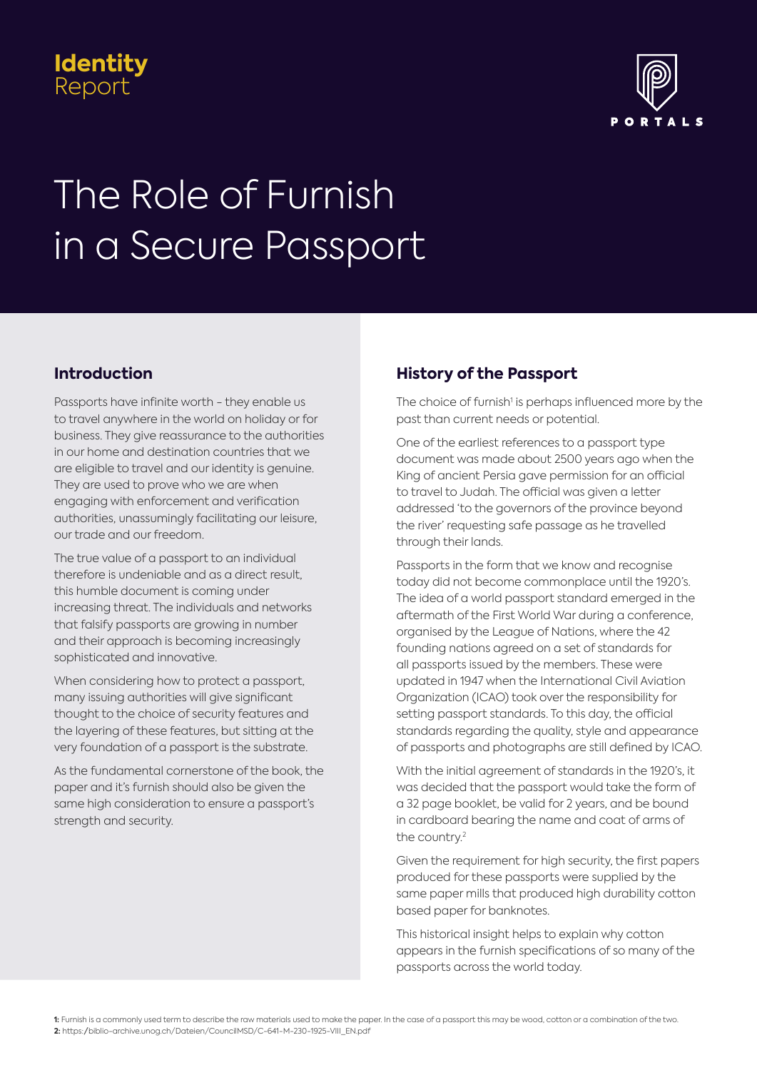## **Identity** Report



# The Role of Furnish in a Secure Passport

## **Introduction**

Passports have infinite worth - they enable us to travel anywhere in the world on holiday or for business. They give reassurance to the authorities in our home and destination countries that we are eligible to travel and our identity is genuine. They are used to prove who we are when engaging with enforcement and verification authorities, unassumingly facilitating our leisure, our trade and our freedom.

The true value of a passport to an individual therefore is undeniable and as a direct result, this humble document is coming under increasing threat. The individuals and networks that falsify passports are growing in number and their approach is becoming increasingly sophisticated and innovative.

When considering how to protect a passport, many issuing authorities will give significant thought to the choice of security features and the layering of these features, but sitting at the very foundation of a passport is the substrate.

As the fundamental cornerstone of the book, the paper and it's furnish should also be given the same high consideration to ensure a passport's strength and security.

## **History of the Passport**

The choice of furnish<sup>1</sup> is perhaps influenced more by the past than current needs or potential.

One of the earliest references to a passport type document was made about 2500 years ago when the King of ancient Persia gave permission for an official to travel to Judah. The official was given a letter addressed 'to the governors of the province beyond the river' requesting safe passage as he travelled through their lands.

Passports in the form that we know and recognise today did not become commonplace until the 1920's. The idea of a world passport standard emerged in the aftermath of the First World War during a conference, organised by the League of Nations, where the 42 founding nations agreed on a set of standards for all passports issued by the members. These were updated in 1947 when the International Civil Aviation Organization (ICAO) took over the responsibility for setting passport standards. To this day, the official standards regarding the quality, style and appearance of passports and photographs are still defined by ICAO.

With the initial agreement of standards in the 1920's, it was decided that the passport would take the form of a 32 page booklet, be valid for 2 years, and be bound in cardboard bearing the name and coat of arms of the country.<sup>2</sup>

Given the requirement for high security, the first papers produced for these passports were supplied by the same paper mills that produced high durability cotton based paper for banknotes.

This historical insight helps to explain why cotton appears in the furnish specifications of so many of the passports across the world today.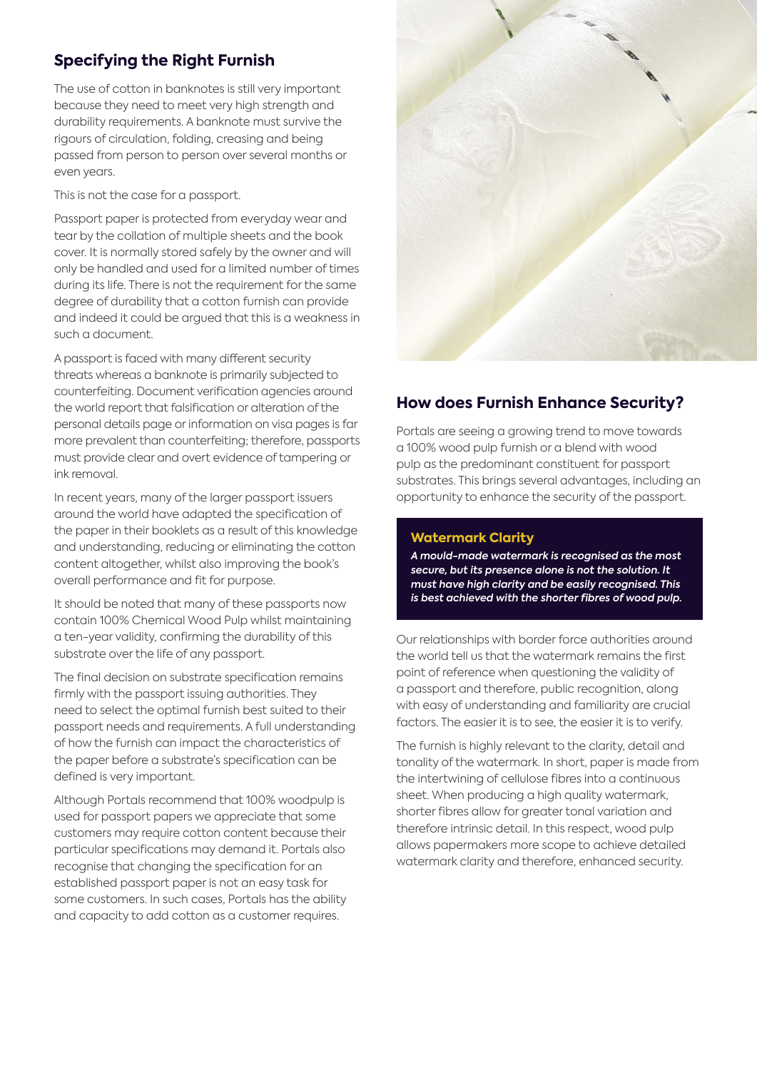## **Specifying the Right Furnish**

The use of cotton in banknotes is still very important because they need to meet very high strength and durability requirements. A banknote must survive the rigours of circulation, folding, creasing and being passed from person to person over several months or even years.

This is not the case for a passport.

Passport paper is protected from everyday wear and tear by the collation of multiple sheets and the book cover. It is normally stored safely by the owner and will only be handled and used for a limited number of times during its life. There is not the requirement for the same degree of durability that a cotton furnish can provide and indeed it could be argued that this is a weakness in such a document.

A passport is faced with many different security threats whereas a banknote is primarily subjected to counterfeiting. Document verification agencies around the world report that falsification or alteration of the personal details page or information on visa pages is far more prevalent than counterfeiting; therefore, passports must provide clear and overt evidence of tampering or ink removal.

In recent years, many of the larger passport issuers around the world have adapted the specification of the paper in their booklets as a result of this knowledge and understanding, reducing or eliminating the cotton content altogether, whilst also improving the book's overall performance and fit for purpose.

It should be noted that many of these passports now contain 100% Chemical Wood Pulp whilst maintaining a ten-year validity, confirming the durability of this substrate over the life of any passport.

The final decision on substrate specification remains firmly with the passport issuing authorities. They need to select the optimal furnish best suited to their passport needs and requirements. A full understanding of how the furnish can impact the characteristics of the paper before a substrate's specification can be defined is very important.

Although Portals recommend that 100% woodpulp is used for passport papers we appreciate that some customers may require cotton content because their particular specifications may demand it. Portals also recognise that changing the specification for an established passport paper is not an easy task for some customers. In such cases, Portals has the ability and capacity to add cotton as a customer requires.



## **How does Furnish Enhance Security?**

Portals are seeing a growing trend to move towards a 100% wood pulp furnish or a blend with wood pulp as the predominant constituent for passport substrates. This brings several advantages, including an opportunity to enhance the security of the passport.

#### **Watermark Clarity**

*A mould-made watermark is recognised as the most secure, but its presence alone is not the solution. It must have high clarity and be easily recognised. This is best achieved with the shorter fibres of wood pulp.*

Our relationships with border force authorities around the world tell us that the watermark remains the first point of reference when questioning the validity of a passport and therefore, public recognition, along with easy of understanding and familiarity are crucial factors. The easier it is to see, the easier it is to verify.

The furnish is highly relevant to the clarity, detail and tonality of the watermark. In short, paper is made from the intertwining of cellulose fibres into a continuous sheet. When producing a high quality watermark, shorter fibres allow for greater tonal variation and therefore intrinsic detail. In this respect, wood pulp allows papermakers more scope to achieve detailed watermark clarity and therefore, enhanced security.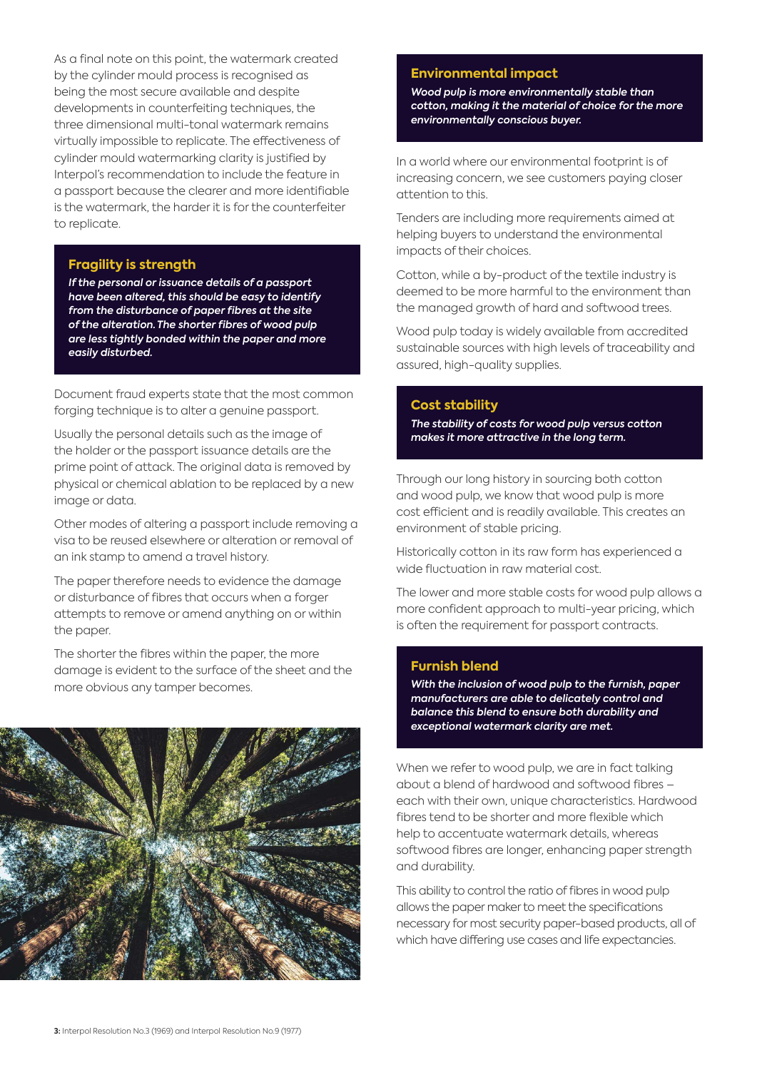As a final note on this point, the watermark created by the cylinder mould process is recognised as being the most secure available and despite developments in counterfeiting techniques, the three dimensional multi-tonal watermark remains virtually impossible to replicate. The effectiveness of cylinder mould watermarking clarity is justified by Interpol's recommendation to include the feature in a passport because the clearer and more identifiable is the watermark, the harder it is for the counterfeiter to replicate.

#### **Fragility is strength**

*If the personal or issuance details of a passport have been altered, this should be easy to identify from the disturbance of paper fibres at the site of the alteration.The shorter fibres of wood pulp are less tightly bonded within the paper and more easily disturbed.*

Document fraud experts state that the most common forging technique is to alter a genuine passport.

Usually the personal details such as the image of the holder or the passport issuance details are the prime point of attack. The original data is removed by physical or chemical ablation to be replaced by a new image or data.

Other modes of altering a passport include removing a visa to be reused elsewhere or alteration or removal of an ink stamp to amend a travel history.

The paper therefore needs to evidence the damage or disturbance of fibres that occurs when a forger attempts to remove or amend anything on or within the paper.

The shorter the fibres within the paper, the more damage is evident to the surface of the sheet and the more obvious any tamper becomes.



#### **Environmental impact**

*Wood pulp is more environmentally stable than cotton, making it the material of choice for the more environmentally conscious buyer.*

In a world where our environmental footprint is of increasing concern, we see customers paying closer attention to this.

Tenders are including more requirements aimed at helping buyers to understand the environmental impacts of their choices.

Cotton, while a by-product of the textile industry is deemed to be more harmful to the environment than the managed growth of hard and softwood trees.

Wood pulp today is widely available from accredited sustainable sources with high levels of traceability and assured, high-quality supplies.

#### **Cost stability**

*The stability of costs for wood pulp versus cotton makes it more attractive in the long term.*

Through our long history in sourcing both cotton and wood pulp, we know that wood pulp is more cost efficient and is readily available. This creates an environment of stable pricing.

Historically cotton in its raw form has experienced a wide fluctuation in raw material cost.

The lower and more stable costs for wood pulp allows a more confident approach to multi-year pricing, which is often the requirement for passport contracts.

#### **Furnish blend**

*With the inclusion of wood pulp to the furnish, paper manufacturers are able to delicately control and balance this blend to ensure both durability and exceptional watermark clarity are met.*

When we refer to wood pulp, we are in fact talking about a blend of hardwood and softwood fibres – each with their own, unique characteristics. Hardwood fibres tend to be shorter and more flexible which help to accentuate watermark details, whereas softwood fibres are longer, enhancing paper strength and durability.

This ability to control the ratio of fibres in wood pulp allows the paper maker to meet the specifications necessary for most security paper-based products, all of which have differing use cases and life expectancies.